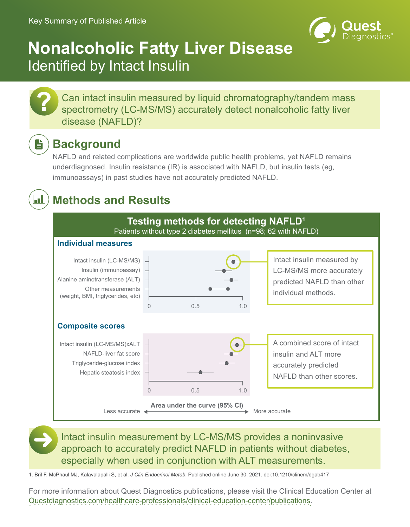

# **Nonalcoholic Fatty Liver Disease** Identified by Intact Insulin

Can intact insulin measured by liquid chromatography/tandem mass spectrometry (LC-MS/MS) accurately detect nonalcoholic fatty liver disease (NAFLD)?

## **Background**

**?**

È

<u>al</u>

NAFLD and related complications are worldwide public health problems, yet NAFLD remains underdiagnosed. Insulin resistance (IR) is associated with NAFLD, but insulin tests (eg, immunoassays) in past studies have not accurately predicted NAFLD.

## **Methods and Results**



Intact insulin measurement by LC-MS/MS provides a noninvasive approach to accurately predict NAFLD in patients without diabetes, especially when used in conjunction with ALT measurements.

1. Bril F, McPhaul MJ, Kalavalapalli S, et al. *J Clin Endocrinol Metab*. Published online June 30, 2021. doi:10.1210/clinem/dgab417

For more information about Quest Diagnostics publications, please visit the Clinical Education Center at [Questdiagnostics.com/healthcare-professionals/clinical-education-center/publications.](https://www.questdiagnostics.com/healthcare-professionals/clinical-education-center/publications)